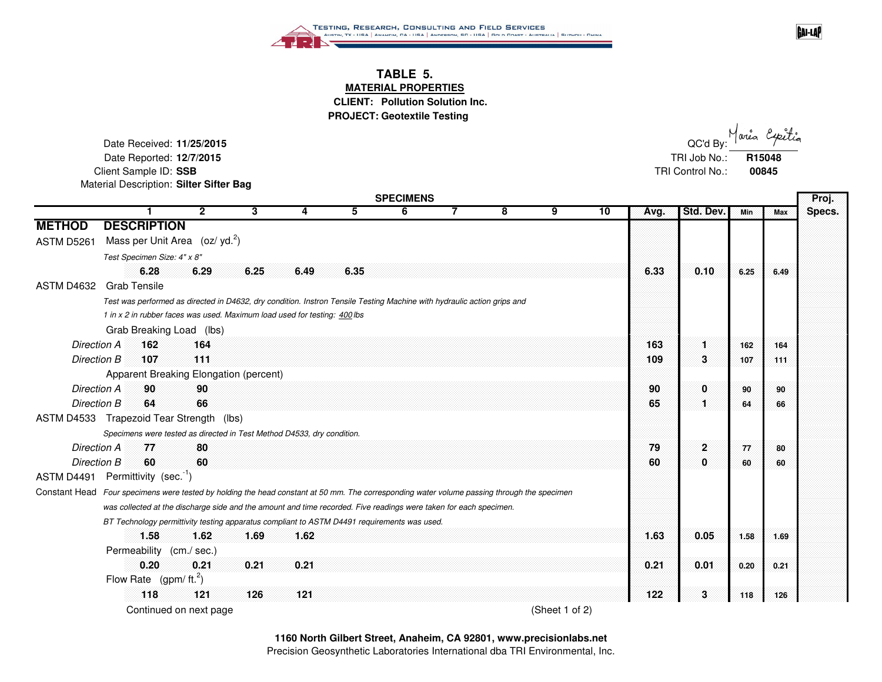

## **TABLE 5. MATERIAL PROPERTIES CLIENT: Pollution Solution Inc. PROJECT: Geotextile Testing**

Date Received: **11/25/2015**Date Reported: **12/7/2015** TRI Job No.: Client Sample ID: **SSB** TRI Control No.: Material Description: **Silter Sifter Bag**

area  $\sim$  5  $\sim$  0.000  $\mu$  . The contract of the contract of the contract of the contract of the contract of the contract of the contract of the contract of the contract of the contract of the contract of the contract of the **R15048 00845**

**GAI-LAP** 

|                    | <b>SPECIMENS</b>                                                                                                                            |             |      |      |      |   |  |   |                |    |      |              |      |               |
|--------------------|---------------------------------------------------------------------------------------------------------------------------------------------|-------------|------|------|------|---|--|---|----------------|----|------|--------------|------|---------------|
|                    |                                                                                                                                             | 2           | 3    | 4    | 5.   | 6 |  | 8 | 9              | 10 | Avg. | Std. Dev.    | Min  | Specs.<br>Max |
| <b>METHOD</b>      | <b>DESCRIPTION</b>                                                                                                                          |             |      |      |      |   |  |   |                |    |      |              |      |               |
| ASTM D5261         | Mass per Unit Area $(oz/yd.2)$                                                                                                              |             |      |      |      |   |  |   |                |    |      |              |      |               |
|                    | Test Specimen Size: 4" x 8"                                                                                                                 |             |      |      |      |   |  |   |                |    |      |              |      |               |
|                    | 6.28                                                                                                                                        | 6.29        | 6.25 | 6.49 | 6.35 |   |  |   |                |    | 6.33 | 0.10         | 6.25 | 6.49          |
| <b>ASTM D4632</b>  | <b>Grab Tensile</b>                                                                                                                         |             |      |      |      |   |  |   |                |    |      |              |      |               |
|                    | Test was performed as directed in D4632, dry condition. Instron Tensile Testing Machine with hydraulic action grips and                     |             |      |      |      |   |  |   |                |    |      |              |      |               |
|                    | 1 in x 2 in rubber faces was used. Maximum load used for testing: 400 lbs                                                                   |             |      |      |      |   |  |   |                |    |      |              |      |               |
|                    | Grab Breaking Load (lbs)                                                                                                                    |             |      |      |      |   |  |   |                |    |      |              |      |               |
| Direction A        | 162                                                                                                                                         | 164         |      |      |      |   |  |   |                |    | 163  | 1.           | 162  | 164           |
| Direction B        | 107                                                                                                                                         | 111         |      |      |      |   |  |   |                |    | 109  | 3            | 107  | 111           |
|                    | Apparent Breaking Elongation (percent)                                                                                                      |             |      |      |      |   |  |   |                |    |      |              |      |               |
| <b>Direction A</b> | 90                                                                                                                                          | 90          |      |      |      |   |  |   |                |    | 90   | 0            | 90   | 90            |
| Direction B        | 64                                                                                                                                          | 66          |      |      |      |   |  |   |                |    | 65   | 1.           | 64   | 66            |
|                    | ASTM D4533 Trapezoid Tear Strength (lbs)                                                                                                    |             |      |      |      |   |  |   |                |    |      |              |      |               |
|                    | Specimens were tested as directed in Test Method D4533, dry condition.                                                                      |             |      |      |      |   |  |   |                |    |      |              |      |               |
| Direction A        | 77                                                                                                                                          | 80          |      |      |      |   |  |   |                |    | 79   | $\mathbf{2}$ | 77   | 80            |
| Direction B        | 60                                                                                                                                          | 60          |      |      |      |   |  |   |                |    | 60   | 0            | 60   | 60            |
|                    | ASTM D4491 Permittivity (sec. $1$ )                                                                                                         |             |      |      |      |   |  |   |                |    |      |              |      |               |
|                    | Constant Head Four specimens were tested by holding the head constant at 50 mm. The corresponding water volume passing through the specimen |             |      |      |      |   |  |   |                |    |      |              |      |               |
|                    | was collected at the discharge side and the amount and time recorded. Five readings were taken for each specimen.                           |             |      |      |      |   |  |   |                |    |      |              |      |               |
|                    | BT Technology permittivity testing apparatus compliant to ASTM D4491 requirements was used.                                                 |             |      |      |      |   |  |   |                |    |      |              |      |               |
|                    | 1.58                                                                                                                                        | 1.62        | 1.69 | 1.62 |      |   |  |   |                |    | 1.63 | 0.05         | 1.58 | 1.69          |
|                    | Permeability                                                                                                                                | (cm./ sec.) |      |      |      |   |  |   |                |    |      |              |      |               |
|                    | 0.20                                                                                                                                        | 0.21        | 0.21 | 0.21 |      |   |  |   |                |    | 0.21 | 0.01         | 0.20 | 0.21          |
|                    | Flow Rate $(gpm/ft.2)$                                                                                                                      |             |      |      |      |   |  |   |                |    |      |              |      |               |
|                    | 118                                                                                                                                         | 121         | 126  | 121  |      |   |  |   |                |    | 122  | $\mathbf{3}$ | 118  | 126           |
|                    | Continued on next page                                                                                                                      |             |      |      |      |   |  |   | (Sheet 1 of 2) |    |      |              |      |               |

Precision Geosynthetic Laboratories International dba TRI Environmental, Inc.